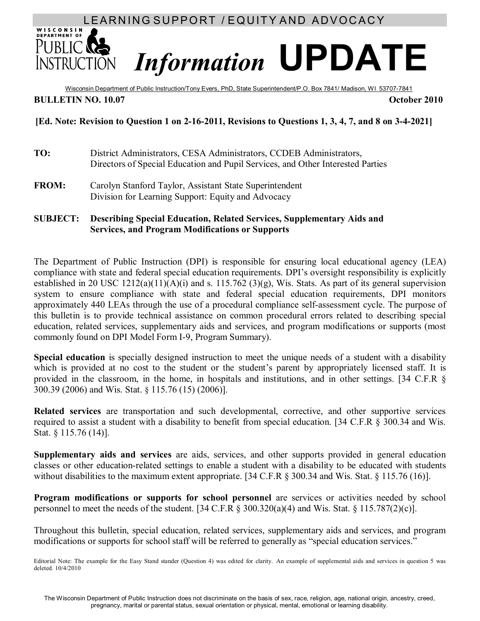# LEARNING SUPPORT / EQUITY AND ADVOCACY

# **DEPARTMENT OF** PUBLIC **RE** *Information* **UPDATE**

Wisconsin Department of Public Instruction/Tony Evers, PhD, State Superintendent/P.O. Box 7841/ Madison, WI 53707-7841 **BULLETIN NO. 10.07 October 2010** 

## **[Ed. Note: Revision to Question 1 on 2-16-2011, Revisions to Questions 1, 3, 4, 7, and 8 on 3-4-2021]**

- **TO:** District Administrators, CESA Administrators, CCDEB Administrators, Directors of Special Education and Pupil Services, and Other Interested Parties
- **FROM:** Carolyn Stanford Taylor, Assistant State Superintendent Division for Learning Support: Equity and Advocacy

#### **SUBJECT: Describing Special Education, Related Services, Supplementary Aids and Services, and Program Modifications or Supports**

The Department of Public Instruction (DPI) is responsible for ensuring local educational agency (LEA) compliance with state and federal special education requirements. DPI's oversight responsibility is explicitly established in 20 USC  $1212(a)(11)(A)(i)$  and s. 115.762  $(3)(g)$ , Wis. Stats. As part of its general supervision system to ensure compliance with state and federal special education requirements, DPI monitors approximately 440 LEAs through the use of a procedural compliance self-assessment cycle. The purpose of this bulletin is to provide technical assistance on common procedural errors related to describing special education, related services, supplementary aids and services, and program modifications or supports (most commonly found on DPI Model Form I-9, Program Summary).

**Special education** is specially designed instruction to meet the unique needs of a student with a disability which is provided at no cost to the student or the student's parent by appropriately licensed staff. It is provided in the classroom, in the home, in hospitals and institutions, and in other settings. [34 C.F.R § 300.39 (2006) and Wis. Stat. § 115.76 (15) (2006)].

**Related services** are transportation and such developmental, corrective, and other supportive services required to assist a student with a disability to benefit from special education. [34 C.F.R § 300.34 and Wis. Stat. § 115.76 (14)].

**Supplementary aids and services** are aids, services, and other supports provided in general education classes or other education-related settings to enable a student with a disability to be educated with students without disabilities to the maximum extent appropriate. [34 C.F.R § 300.34 and Wis. Stat. § 115.76 (16)].

**Program modifications or supports for school personnel** are services or activities needed by school personnel to meet the needs of the student. [34 C.F.R § 300.320(a)(4) and Wis. Stat. § 115.787(2)(c)].

Throughout this bulletin, special education, related services, supplementary aids and services, and program modifications or supports for school staff will be referred to generally as "special education services."

Editorial Note: The example for the Easy Stand stander (Question 4) was edited for clarity. An example of supplemental aids and services in question 5 was deleted. 10/4/2010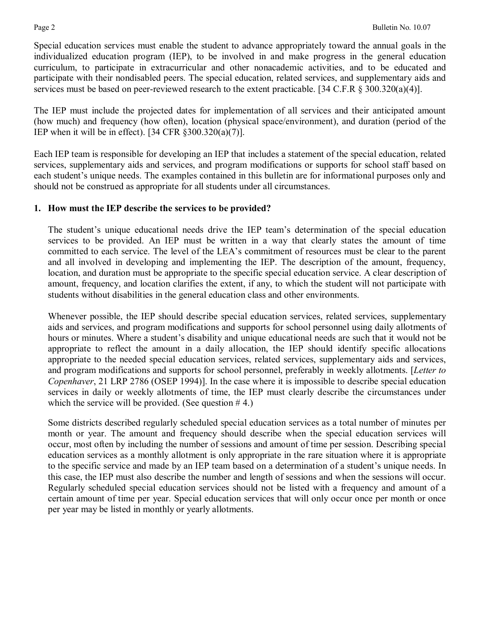Special education services must enable the student to advance appropriately toward the annual goals in the individualized education program (IEP), to be involved in and make progress in the general education curriculum, to participate in extracurricular and other nonacademic activities, and to be educated and participate with their nondisabled peers. The special education, related services, and supplementary aids and services must be based on peer-reviewed research to the extent practicable. [34 C.F.R § 300.320(a)(4)].

The IEP must include the projected dates for implementation of all services and their anticipated amount (how much) and frequency (how often), location (physical space/environment), and duration (period of the IEP when it will be in effect). [34 CFR  $\S 300.320(a)(7)$ ].

Each IEP team is responsible for developing an IEP that includes a statement of the special education, related services, supplementary aids and services, and program modifications or supports for school staff based on each student's unique needs. The examples contained in this bulletin are for informational purposes only and should not be construed as appropriate for all students under all circumstances.

### **1. How must the IEP describe the services to be provided?**

The student's unique educational needs drive the IEP team's determination of the special education services to be provided. An IEP must be written in a way that clearly states the amount of time committed to each service. The level of the LEA's commitment of resources must be clear to the parent and all involved in developing and implementing the IEP. The description of the amount, frequency, location, and duration must be appropriate to the specific special education service. A clear description of amount, frequency, and location clarifies the extent, if any, to which the student will not participate with students without disabilities in the general education class and other environments.

Whenever possible, the IEP should describe special education services, related services, supplementary aids and services, and program modifications and supports for school personnel using daily allotments of hours or minutes. Where a student's disability and unique educational needs are such that it would not be appropriate to reflect the amount in a daily allocation, the IEP should identify specific allocations appropriate to the needed special education services, related services, supplementary aids and services, and program modifications and supports for school personnel, preferably in weekly allotments. [*Letter to Copenhaver*, 21 LRP 2786 (OSEP 1994)]. In the case where it is impossible to describe special education services in daily or weekly allotments of time, the IEP must clearly describe the circumstances under which the service will be provided. (See question  $# 4$ .)

Some districts described regularly scheduled special education services as a total number of minutes per month or year. The amount and frequency should describe when the special education services will occur, most often by including the number of sessions and amount of time per session. Describing special education services as a monthly allotment is only appropriate in the rare situation where it is appropriate to the specific service and made by an IEP team based on a determination of a student's unique needs. In this case, the IEP must also describe the number and length of sessions and when the sessions will occur. Regularly scheduled special education services should not be listed with a frequency and amount of a certain amount of time per year. Special education services that will only occur once per month or once per year may be listed in monthly or yearly allotments.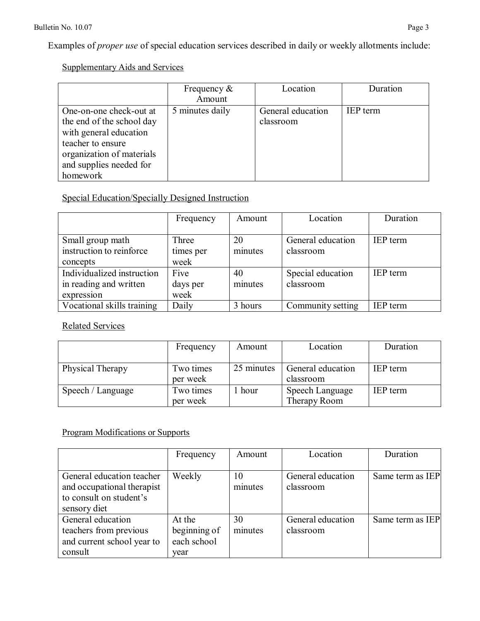Examples of *proper use* of special education services described in daily or weekly allotments include:

# Supplementary Aids and Services

|                                                                                                                                                                         | Frequency $\&$<br>Amount | Location                       | Duration        |
|-------------------------------------------------------------------------------------------------------------------------------------------------------------------------|--------------------------|--------------------------------|-----------------|
| One-on-one check-out at<br>the end of the school day<br>with general education<br>teacher to ensure<br>organization of materials<br>and supplies needed for<br>homework | 5 minutes daily          | General education<br>classroom | <b>IEP</b> term |

# Special Education/Specially Designed Instruction

|                                                                    | Frequency                  | Amount        | Location                       | Duration        |
|--------------------------------------------------------------------|----------------------------|---------------|--------------------------------|-----------------|
| Small group math<br>instruction to reinforce<br>concepts           | Three<br>times per<br>week | 20<br>minutes | General education<br>classroom | <b>IEP</b> term |
| Individualized instruction<br>in reading and written<br>expression | Five<br>days per<br>week   | 40<br>minutes | Special education<br>classroom | <b>IEP</b> term |
| Vocational skills training                                         | Daily                      | 3 hours       | Community setting              | <b>IEP</b> term |

# Related Services

|                   | Frequency             | Amount     | Location                        | Duration        |
|-------------------|-----------------------|------------|---------------------------------|-----------------|
| Physical Therapy  | Two times<br>per week | 25 minutes | General education<br>classroom  | <b>IEP</b> term |
| Speech / Language | Two times<br>per week | hour       | Speech Language<br>Therapy Room | <b>IEP</b> term |

# Program Modifications or Supports

|                            | Frequency    | Amount  | Location          | Duration         |
|----------------------------|--------------|---------|-------------------|------------------|
|                            |              |         |                   |                  |
| General education teacher  | Weekly       | 10      | General education | Same term as IEP |
| and occupational therapist |              | minutes | classroom         |                  |
| to consult on student's    |              |         |                   |                  |
| sensory diet               |              |         |                   |                  |
| General education          | At the       | 30      | General education | Same term as IEP |
| teachers from previous     | beginning of | minutes | classroom         |                  |
| and current school year to | each school  |         |                   |                  |
| consult                    | year         |         |                   |                  |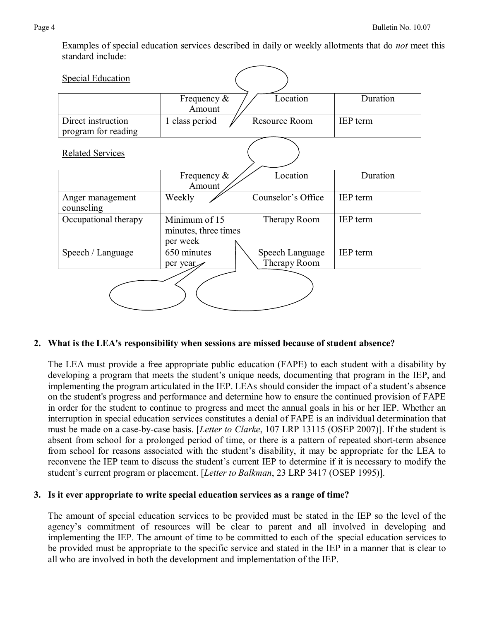Examples of special education services described in daily or weekly allotments that do *not* meet this standard include:

| <b>Special Education</b>                  |                                                   |                                 |                 |
|-------------------------------------------|---------------------------------------------------|---------------------------------|-----------------|
|                                           | Frequency $\&$<br>Amount                          | Location                        | Duration        |
| Direct instruction<br>program for reading | 1 class period                                    | Resource Room                   | IEP term        |
| <b>Related Services</b>                   |                                                   |                                 |                 |
|                                           | Frequency $\&$<br>Amount                          | Location                        | Duration        |
| Anger management<br>counseling            | Weekly                                            | Counselor's Office              | <b>IEP</b> term |
| Occupational therapy                      | Minimum of 15<br>minutes, three times<br>per week | Therapy Room                    | IEP term        |
| Speech / Language                         | 650 minutes<br>per year                           | Speech Language<br>Therapy Room | <b>IEP</b> term |
|                                           |                                                   |                                 |                 |

#### **2. What is the LEA's responsibility when sessions are missed because of student absence?**

The LEA must provide a free appropriate public education (FAPE) to each student with a disability by developing a program that meets the student's unique needs, documenting that program in the IEP, and implementing the program articulated in the IEP. LEAs should consider the impact of a student's absence on the student's progress and performance and determine how to ensure the continued provision of FAPE in order for the student to continue to progress and meet the annual goals in his or her IEP. Whether an interruption in special education services constitutes a denial of FAPE is an individual determination that must be made on a case-by-case basis. [*Letter to Clarke*, 107 LRP 13115 (OSEP 2007)]. If the student is absent from school for a prolonged period of time, or there is a pattern of repeated short-term absence from school for reasons associated with the student's disability, it may be appropriate for the LEA to reconvene the IEP team to discuss the student's current IEP to determine if it is necessary to modify the student's current program or placement. [*Letter to Balkman*, 23 LRP 3417 (OSEP 1995)].

#### **3. Is it ever appropriate to write special education services as a range of time?**

The amount of special education services to be provided must be stated in the IEP so the level of the agency's commitment of resources will be clear to parent and all involved in developing and implementing the IEP. The amount of time to be committed to each of the special education services to be provided must be appropriate to the specific service and stated in the IEP in a manner that is clear to all who are involved in both the development and implementation of the IEP.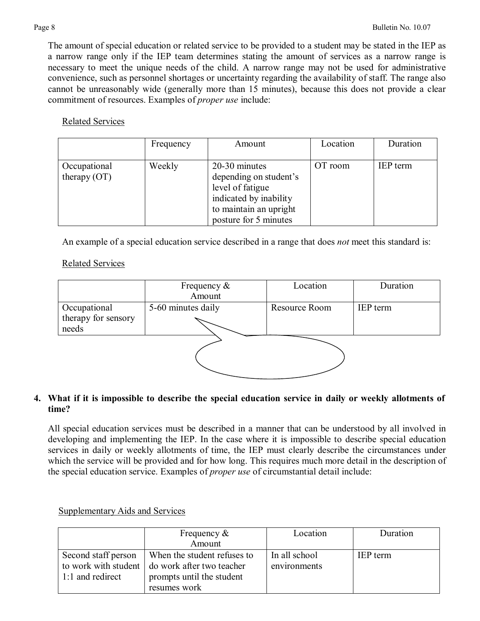The amount of special education or related service to be provided to a student may be stated in the IEP as a narrow range only if the IEP team determines stating the amount of services as a narrow range is necessary to meet the unique needs of the child. A narrow range may not be used for administrative convenience, such as personnel shortages or uncertainty regarding the availability of staff. The range also cannot be unreasonably wide (generally more than 15 minutes), because this does not provide a clear commitment of resources. Examples of *proper use* include:

#### Related Services

|                                | Frequency | Amount                                                                                                                                   | Location | Duration        |
|--------------------------------|-----------|------------------------------------------------------------------------------------------------------------------------------------------|----------|-----------------|
| Occupational<br>therapy $(OT)$ | Weekly    | 20-30 minutes<br>depending on student's<br>level of fatigue<br>indicated by inability<br>to maintain an upright<br>posture for 5 minutes | OT room  | <b>IEP</b> term |

An example of a special education service described in a range that does *not* meet this standard is:

# Related Services

|                              | Frequency $\&$<br>Amount | Location      | Duration |
|------------------------------|--------------------------|---------------|----------|
|                              |                          |               |          |
| Occupational                 | 5-60 minutes daily       | Resource Room | IEP term |
| therapy for sensory<br>needs |                          |               |          |
|                              |                          |               |          |

### 4. What if it is impossible to describe the special education service in daily or weekly allotments of **time?**

All special education services must be described in a manner that can be understood by all involved in developing and implementing the IEP. In the case where it is impossible to describe special education services in daily or weekly allotments of time, the IEP must clearly describe the circumstances under which the service will be provided and for how long. This requires much more detail in the description of the special education service. Examples of *proper use* of circumstantial detail include:

|                     | Frequency $\&$                                   | Location      | Duration        |
|---------------------|--------------------------------------------------|---------------|-----------------|
|                     | Amount                                           |               |                 |
| Second staff person | When the student refuses to                      | In all school | <b>IEP</b> term |
|                     | to work with student   do work after two teacher | environments  |                 |
| 1:1 and redirect    | prompts until the student                        |               |                 |
|                     | resumes work                                     |               |                 |

### Supplementary Aids and Services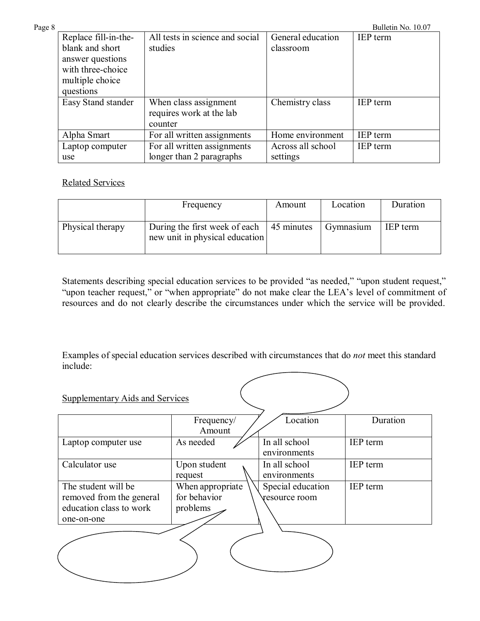| Page 8 |                      |                                 |                   | Bulletin No. 10.07 |
|--------|----------------------|---------------------------------|-------------------|--------------------|
|        | Replace fill-in-the- | All tests in science and social | General education | <b>IEP</b> term    |
|        | blank and short      | studies                         | classroom         |                    |
|        | answer questions     |                                 |                   |                    |
|        | with three-choice    |                                 |                   |                    |
|        | multiple choice      |                                 |                   |                    |
|        | questions            |                                 |                   |                    |
|        | Easy Stand stander   | When class assignment           | Chemistry class   | <b>IEP</b> term    |
|        |                      | requires work at the lab        |                   |                    |
|        |                      | counter                         |                   |                    |
|        | Alpha Smart          | For all written assignments     | Home environment  | IEP term           |
|        | Laptop computer      | For all written assignments     | Across all school | IEP term           |
|        | use                  | longer than 2 paragraphs        | settings          |                    |

Related Services

|                  | Frequency                                                                          | Amount | Location  | Duration        |
|------------------|------------------------------------------------------------------------------------|--------|-----------|-----------------|
| Physical therapy | During the first week of each $\vert$ 45 minutes<br>new unit in physical education |        | Gymnasium | <b>IEP</b> term |

Statements describing special education services to be provided "as needed," "upon student request," "upon teacher request," or "when appropriate" do not make clear the LEA's level of commitment of resources and do not clearly describe the circumstances under which the service will be provided.

Examples of special education services described with circumstances that do *not* meet this standard include:

| <b>Supplementary Aids and Services</b>                                                   |                                              |                                    |                 |
|------------------------------------------------------------------------------------------|----------------------------------------------|------------------------------------|-----------------|
|                                                                                          | Frequency/<br>Amount                         | Location                           | Duration        |
| Laptop computer use                                                                      | As needed                                    | In all school<br>environments      | IEP term        |
| Calculator use                                                                           | Upon student<br>request                      | In all school<br>environments      | IEP term        |
| The student will be<br>removed from the general<br>education class to work<br>one-on-one | When appropriate<br>for behavior<br>problems | Special education<br>resource room | <b>IEP</b> term |
|                                                                                          |                                              |                                    |                 |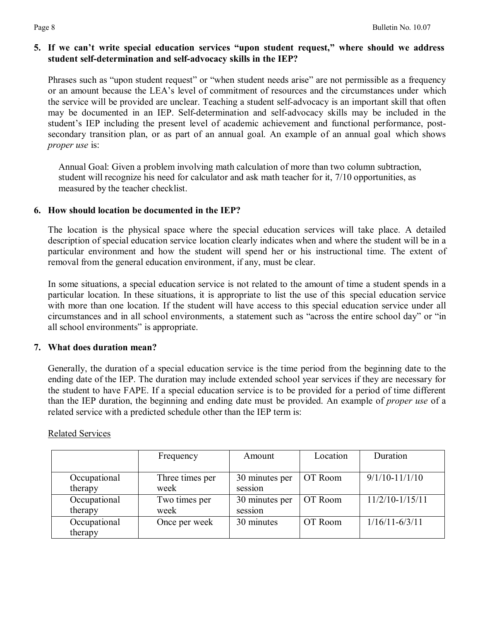## **5. If we can't write special education services "upon student request," where should we address student self-determination and self-advocacy skills in the IEP?**

Phrases such as "upon student request" or "when student needs arise" are not permissible as a frequency or an amount because the LEA's level of commitment of resources and the circumstances under which the service will be provided are unclear. Teaching a student self-advocacy is an important skill that often may be documented in an IEP. Self-determination and self-advocacy skills may be included in the student's IEP including the present level of academic achievement and functional performance, postsecondary transition plan, or as part of an annual goal. An example of an annual goal which shows *proper use* is:

Annual Goal: Given a problem involving math calculation of more than two column subtraction, student will recognize his need for calculator and ask math teacher for it, 7/10 opportunities, as measured by the teacher checklist.

#### **6. How should location be documented in the IEP?**

The location is the physical space where the special education services will take place. A detailed description of special education service location clearly indicates when and where the student will be in a particular environment and how the student will spend her or his instructional time. The extent of removal from the general education environment, if any, must be clear.

In some situations, a special education service is not related to the amount of time a student spends in a particular location. In these situations, it is appropriate to list the use of this special education service with more than one location. If the student will have access to this special education service under all circumstances and in all school environments, a statement such as "across the entire school day" or "in all school environments" is appropriate.

### **7. What does duration mean?**

Generally, the duration of a special education service is the time period from the beginning date to the ending date of the IEP. The duration may include extended school year services if they are necessary for the student to have FAPE. If a special education service is to be provided for a period of time different than the IEP duration, the beginning and ending date must be provided. An example of *proper use* of a related service with a predicted schedule other than the IEP term is:

|              | Frequency       | Amount         | Location | Duration           |
|--------------|-----------------|----------------|----------|--------------------|
|              |                 |                |          |                    |
| Occupational | Three times per | 30 minutes per | OT Room  | $9/1/10 - 11/1/10$ |
| therapy      | week            | session        |          |                    |
| Occupational | Two times per   | 30 minutes per | OT Room  | $11/2/10-1/15/11$  |
| therapy      | week            | session        |          |                    |
| Occupational | Once per week   | 30 minutes     | OT Room  | $1/16/11 - 6/3/11$ |
| therapy      |                 |                |          |                    |

#### Related Services